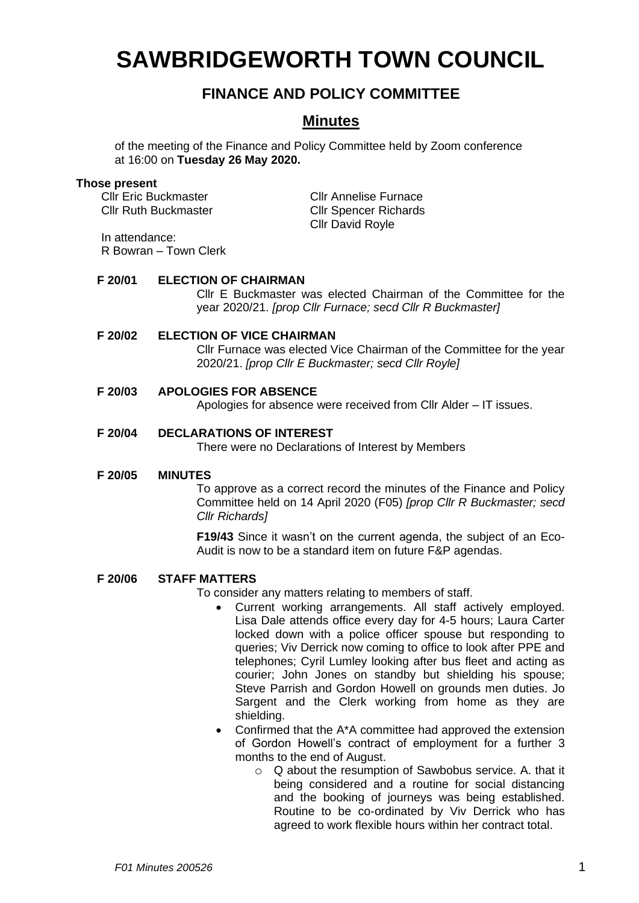# **SAWBRIDGEWORTH TOWN COUNCIL**

# **FINANCE AND POLICY COMMITTEE**

# **Minutes**

of the meeting of the Finance and Policy Committee held by Zoom conference at 16:00 on **Tuesday 26 May 2020.**

#### **Those present**

Cllr Eric Buckmaster Cllr Annelise Furnace Cllr Ruth Buckmaster Cllr Spencer Richards Cllr David Royle

In attendance: R Bowran – Town Clerk

# **F 20/01 ELECTION OF CHAIRMAN**

Cllr E Buckmaster was elected Chairman of the Committee for the year 2020/21. *[prop Cllr Furnace; secd Cllr R Buckmaster]*

# **F 20/02 ELECTION OF VICE CHAIRMAN**

Cllr Furnace was elected Vice Chairman of the Committee for the year 2020/21. *[prop Cllr E Buckmaster; secd Cllr Royle]*

# **F 20/03 APOLOGIES FOR ABSENCE**

Apologies for absence were received from Cllr Alder – IT issues.

# **F 20/04 DECLARATIONS OF INTEREST**

There were no Declarations of Interest by Members

#### **F 20/05 MINUTES**

To approve as a correct record the minutes of the Finance and Policy Committee held on 14 April 2020 (F05) *[prop Cllr R Buckmaster; secd Cllr Richards]*

**F19/43** Since it wasn't on the current agenda, the subject of an Eco-Audit is now to be a standard item on future F&P agendas.

**F 20/06 STAFF MATTERS**

To consider any matters relating to members of staff.

- Current working arrangements. All staff actively employed. Lisa Dale attends office every day for 4-5 hours; Laura Carter locked down with a police officer spouse but responding to queries; Viv Derrick now coming to office to look after PPE and telephones; Cyril Lumley looking after bus fleet and acting as courier; John Jones on standby but shielding his spouse; Steve Parrish and Gordon Howell on grounds men duties. Jo Sargent and the Clerk working from home as they are shielding.
- Confirmed that the A\*A committee had approved the extension of Gordon Howell's contract of employment for a further 3 months to the end of August.
	- o Q about the resumption of Sawbobus service. A. that it being considered and a routine for social distancing and the booking of journeys was being established. Routine to be co-ordinated by Viv Derrick who has agreed to work flexible hours within her contract total.